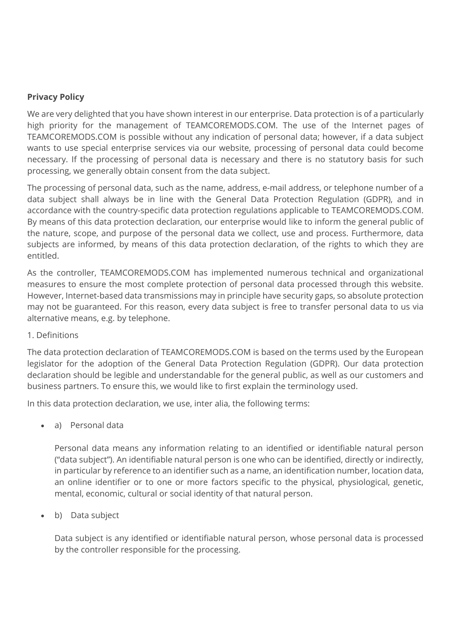#### **Privacy Policy**

We are very delighted that you have shown interest in our enterprise. Data protection is of a particularly high priority for the management of TEAMCOREMODS.COM. The use of the Internet pages of TEAMCOREMODS.COM is possible without any indication of personal data; however, if a data subject wants to use special enterprise services via our website, processing of personal data could become necessary. If the processing of personal data is necessary and there is no statutory basis for such processing, we generally obtain consent from the data subject.

The processing of personal data, such as the name, address, e-mail address, or telephone number of a data subject shall always be in line with the General Data Protection Regulation (GDPR), and in accordance with the country-specific data protection regulations applicable to TEAMCOREMODS.COM. By means of this data protection declaration, our enterprise would like to inform the general public of the nature, scope, and purpose of the personal data we collect, use and process. Furthermore, data subjects are informed, by means of this data protection declaration, of the rights to which they are entitled.

As the controller, TEAMCOREMODS.COM has implemented numerous technical and organizational measures to ensure the most complete protection of personal data processed through this website. However, Internet-based data transmissions may in principle have security gaps, so absolute protection may not be guaranteed. For this reason, every data subject is free to transfer personal data to us via alternative means, e.g. by telephone.

#### 1. Definitions

The data protection declaration of TEAMCOREMODS.COM is based on the terms used by the European legislator for the adoption of the General Data Protection Regulation (GDPR). Our data protection declaration should be legible and understandable for the general public, as well as our customers and business partners. To ensure this, we would like to first explain the terminology used.

In this data protection declaration, we use, inter alia, the following terms:

a) Personal data

Personal data means any information relating to an identified or identifiable natural person ("data subject"). An identifiable natural person is one who can be identified, directly or indirectly, in particular by reference to an identifier such as a name, an identification number, location data, an online identifier or to one or more factors specific to the physical, physiological, genetic, mental, economic, cultural or social identity of that natural person.

b) Data subject

Data subject is any identified or identifiable natural person, whose personal data is processed by the controller responsible for the processing.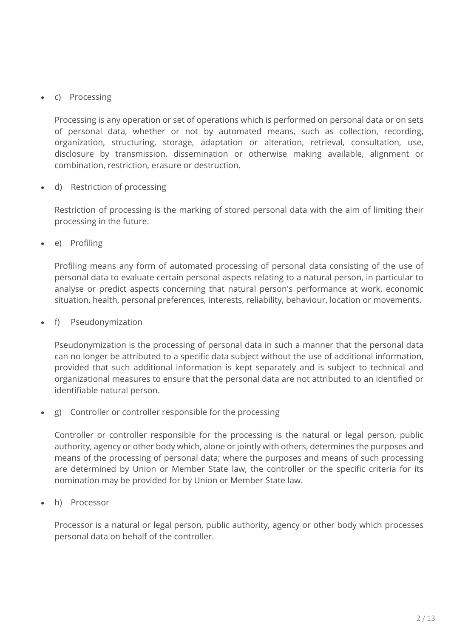# c) Processing

Processing is any operation or set of operations which is performed on personal data or on sets of personal data, whether or not by automated means, such as collection, recording, organization, structuring, storage, adaptation or alteration, retrieval, consultation, use, disclosure by transmission, dissemination or otherwise making available, alignment or combination, restriction, erasure or destruction.

d) Restriction of processing

Restriction of processing is the marking of stored personal data with the aim of limiting their processing in the future.

e) Profiling

Profiling means any form of automated processing of personal data consisting of the use of personal data to evaluate certain personal aspects relating to a natural person, in particular to analyse or predict aspects concerning that natural person's performance at work, economic situation, health, personal preferences, interests, reliability, behaviour, location or movements.

f) Pseudonymization

Pseudonymization is the processing of personal data in such a manner that the personal data can no longer be attributed to a specific data subject without the use of additional information, provided that such additional information is kept separately and is subject to technical and organizational measures to ensure that the personal data are not attributed to an identified or identifiable natural person.

g) Controller or controller responsible for the processing

Controller or controller responsible for the processing is the natural or legal person, public authority, agency or other body which, alone or jointly with others, determines the purposes and means of the processing of personal data; where the purposes and means of such processing are determined by Union or Member State law, the controller or the specific criteria for its nomination may be provided for by Union or Member State law.

h) Processor

Processor is a natural or legal person, public authority, agency or other body which processes personal data on behalf of the controller.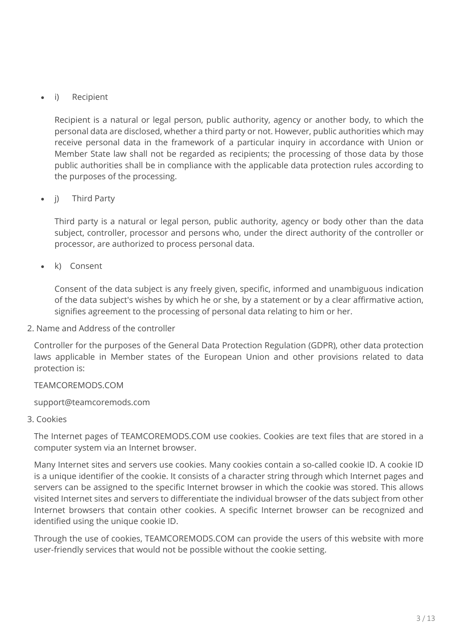i) Recipient

Recipient is a natural or legal person, public authority, agency or another body, to which the personal data are disclosed, whether a third party or not. However, public authorities which may receive personal data in the framework of a particular inquiry in accordance with Union or Member State law shall not be regarded as recipients; the processing of those data by those public authorities shall be in compliance with the applicable data protection rules according to the purposes of the processing.

• i) Third Party

Third party is a natural or legal person, public authority, agency or body other than the data subject, controller, processor and persons who, under the direct authority of the controller or processor, are authorized to process personal data.

k) Consent

Consent of the data subject is any freely given, specific, informed and unambiguous indication of the data subject's wishes by which he or she, by a statement or by a clear affirmative action, signifies agreement to the processing of personal data relating to him or her.

2. Name and Address of the controller

Controller for the purposes of the General Data Protection Regulation (GDPR), other data protection laws applicable in Member states of the European Union and other provisions related to data protection is:

# TEAMCOREMODS.COM

support@teamcoremods.com

### 3. Cookies

The Internet pages of TEAMCOREMODS.COM use cookies. Cookies are text files that are stored in a computer system via an Internet browser.

Many Internet sites and servers use cookies. Many cookies contain a so-called cookie ID. A cookie ID is a unique identifier of the cookie. It consists of a character string through which Internet pages and servers can be assigned to the specific Internet browser in which the cookie was stored. This allows visited Internet sites and servers to differentiate the individual browser of the dats subject from other Internet browsers that contain other cookies. A specific Internet browser can be recognized and identified using the unique cookie ID.

Through the use of cookies, TEAMCOREMODS.COM can provide the users of this website with more user-friendly services that would not be possible without the cookie setting.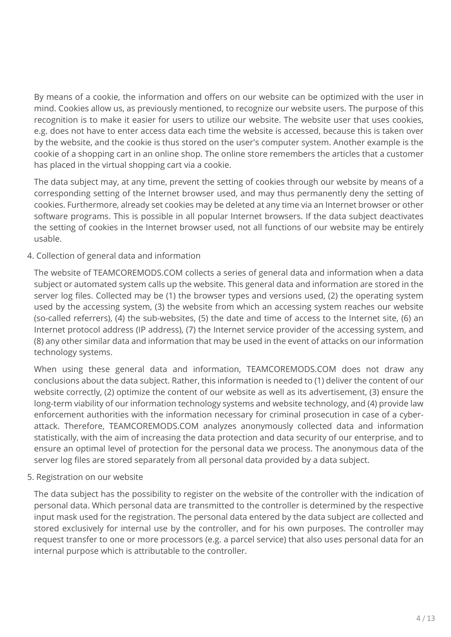By means of a cookie, the information and offers on our website can be optimized with the user in mind. Cookies allow us, as previously mentioned, to recognize our website users. The purpose of this recognition is to make it easier for users to utilize our website. The website user that uses cookies, e.g. does not have to enter access data each time the website is accessed, because this is taken over by the website, and the cookie is thus stored on the user's computer system. Another example is the cookie of a shopping cart in an online shop. The online store remembers the articles that a customer has placed in the virtual shopping cart via a cookie.

The data subject may, at any time, prevent the setting of cookies through our website by means of a corresponding setting of the Internet browser used, and may thus permanently deny the setting of cookies. Furthermore, already set cookies may be deleted at any time via an Internet browser or other software programs. This is possible in all popular Internet browsers. If the data subject deactivates the setting of cookies in the Internet browser used, not all functions of our website may be entirely usable.

4. Collection of general data and information

The website of TEAMCOREMODS.COM collects a series of general data and information when a data subject or automated system calls up the website. This general data and information are stored in the server log files. Collected may be (1) the browser types and versions used, (2) the operating system used by the accessing system, (3) the website from which an accessing system reaches our website (so-called referrers), (4) the sub-websites, (5) the date and time of access to the Internet site, (6) an Internet protocol address (IP address), (7) the Internet service provider of the accessing system, and (8) any other similar data and information that may be used in the event of attacks on our information technology systems.

When using these general data and information, TEAMCOREMODS.COM does not draw any conclusions about the data subject. Rather, this information is needed to (1) deliver the content of our website correctly, (2) optimize the content of our website as well as its advertisement, (3) ensure the long-term viability of our information technology systems and website technology, and (4) provide law enforcement authorities with the information necessary for criminal prosecution in case of a cyberattack. Therefore, TEAMCOREMODS.COM analyzes anonymously collected data and information statistically, with the aim of increasing the data protection and data security of our enterprise, and to ensure an optimal level of protection for the personal data we process. The anonymous data of the server log files are stored separately from all personal data provided by a data subject.

5. Registration on our website

The data subject has the possibility to register on the website of the controller with the indication of personal data. Which personal data are transmitted to the controller is determined by the respective input mask used for the registration. The personal data entered by the data subject are collected and stored exclusively for internal use by the controller, and for his own purposes. The controller may request transfer to one or more processors (e.g. a parcel service) that also uses personal data for an internal purpose which is attributable to the controller.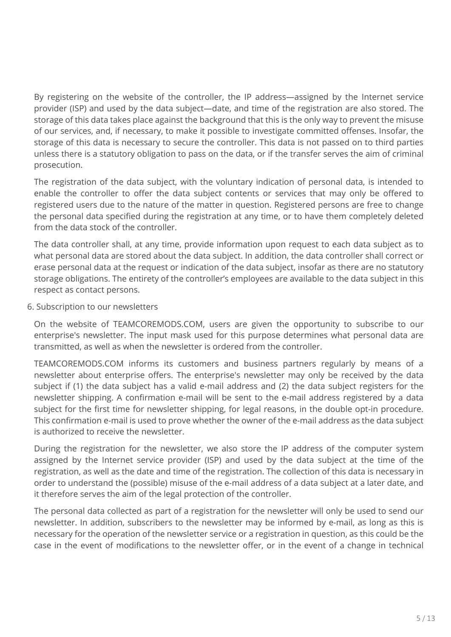By registering on the website of the controller, the IP address—assigned by the Internet service provider (ISP) and used by the data subject—date, and time of the registration are also stored. The storage of this data takes place against the background that this is the only way to prevent the misuse of our services, and, if necessary, to make it possible to investigate committed offenses. Insofar, the storage of this data is necessary to secure the controller. This data is not passed on to third parties unless there is a statutory obligation to pass on the data, or if the transfer serves the aim of criminal prosecution.

The registration of the data subject, with the voluntary indication of personal data, is intended to enable the controller to offer the data subject contents or services that may only be offered to registered users due to the nature of the matter in question. Registered persons are free to change the personal data specified during the registration at any time, or to have them completely deleted from the data stock of the controller.

The data controller shall, at any time, provide information upon request to each data subject as to what personal data are stored about the data subject. In addition, the data controller shall correct or erase personal data at the request or indication of the data subject, insofar as there are no statutory storage obligations. The entirety of the controller's employees are available to the data subject in this respect as contact persons.

6. Subscription to our newsletters

On the website of TEAMCOREMODS.COM, users are given the opportunity to subscribe to our enterprise's newsletter. The input mask used for this purpose determines what personal data are transmitted, as well as when the newsletter is ordered from the controller.

TEAMCOREMODS.COM informs its customers and business partners regularly by means of a newsletter about enterprise offers. The enterprise's newsletter may only be received by the data subject if (1) the data subject has a valid e-mail address and (2) the data subject registers for the newsletter shipping. A confirmation e-mail will be sent to the e-mail address registered by a data subject for the first time for newsletter shipping, for legal reasons, in the double opt-in procedure. This confirmation e-mail is used to prove whether the owner of the e-mail address as the data subject is authorized to receive the newsletter.

During the registration for the newsletter, we also store the IP address of the computer system assigned by the Internet service provider (ISP) and used by the data subject at the time of the registration, as well as the date and time of the registration. The collection of this data is necessary in order to understand the (possible) misuse of the e-mail address of a data subject at a later date, and it therefore serves the aim of the legal protection of the controller.

The personal data collected as part of a registration for the newsletter will only be used to send our newsletter. In addition, subscribers to the newsletter may be informed by e-mail, as long as this is necessary for the operation of the newsletter service or a registration in question, as this could be the case in the event of modifications to the newsletter offer, or in the event of a change in technical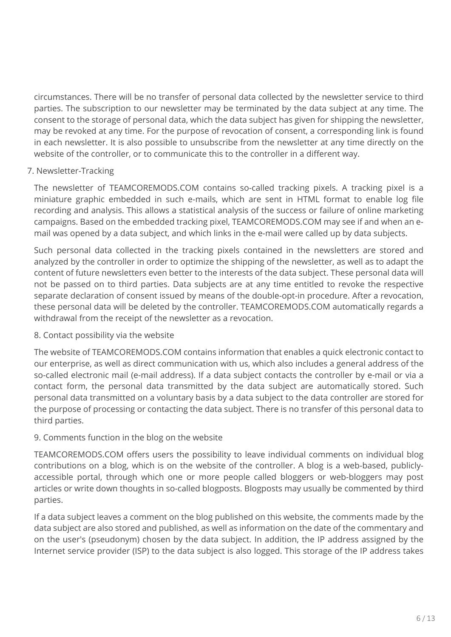circumstances. There will be no transfer of personal data collected by the newsletter service to third parties. The subscription to our newsletter may be terminated by the data subject at any time. The consent to the storage of personal data, which the data subject has given for shipping the newsletter, may be revoked at any time. For the purpose of revocation of consent, a corresponding link is found in each newsletter. It is also possible to unsubscribe from the newsletter at any time directly on the website of the controller, or to communicate this to the controller in a different way.

## 7. Newsletter-Tracking

The newsletter of TEAMCOREMODS.COM contains so-called tracking pixels. A tracking pixel is a miniature graphic embedded in such e-mails, which are sent in HTML format to enable log file recording and analysis. This allows a statistical analysis of the success or failure of online marketing campaigns. Based on the embedded tracking pixel, TEAMCOREMODS.COM may see if and when an email was opened by a data subject, and which links in the e-mail were called up by data subjects.

Such personal data collected in the tracking pixels contained in the newsletters are stored and analyzed by the controller in order to optimize the shipping of the newsletter, as well as to adapt the content of future newsletters even better to the interests of the data subject. These personal data will not be passed on to third parties. Data subjects are at any time entitled to revoke the respective separate declaration of consent issued by means of the double-opt-in procedure. After a revocation, these personal data will be deleted by the controller. TEAMCOREMODS.COM automatically regards a withdrawal from the receipt of the newsletter as a revocation.

### 8. Contact possibility via the website

The website of TEAMCOREMODS.COM contains information that enables a quick electronic contact to our enterprise, as well as direct communication with us, which also includes a general address of the so-called electronic mail (e-mail address). If a data subject contacts the controller by e-mail or via a contact form, the personal data transmitted by the data subject are automatically stored. Such personal data transmitted on a voluntary basis by a data subject to the data controller are stored for the purpose of processing or contacting the data subject. There is no transfer of this personal data to third parties.

### 9. Comments function in the blog on the website

TEAMCOREMODS.COM offers users the possibility to leave individual comments on individual blog contributions on a blog, which is on the website of the controller. A blog is a web-based, publiclyaccessible portal, through which one or more people called bloggers or web-bloggers may post articles or write down thoughts in so-called blogposts. Blogposts may usually be commented by third parties.

If a data subject leaves a comment on the blog published on this website, the comments made by the data subject are also stored and published, as well as information on the date of the commentary and on the user's (pseudonym) chosen by the data subject. In addition, the IP address assigned by the Internet service provider (ISP) to the data subject is also logged. This storage of the IP address takes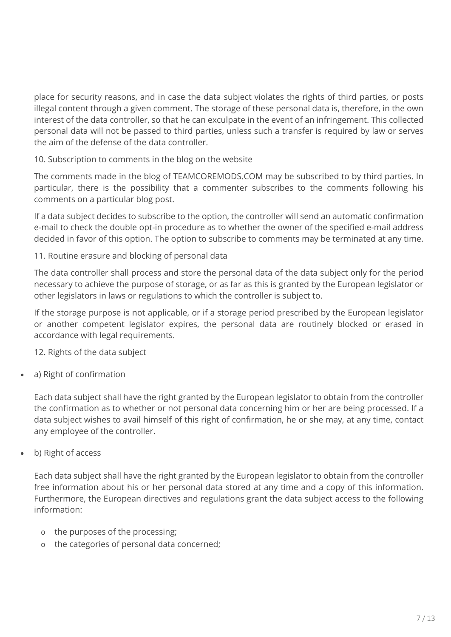place for security reasons, and in case the data subject violates the rights of third parties, or posts illegal content through a given comment. The storage of these personal data is, therefore, in the own interest of the data controller, so that he can exculpate in the event of an infringement. This collected personal data will not be passed to third parties, unless such a transfer is required by law or serves the aim of the defense of the data controller.

# 10. Subscription to comments in the blog on the website

The comments made in the blog of TEAMCOREMODS.COM may be subscribed to by third parties. In particular, there is the possibility that a commenter subscribes to the comments following his comments on a particular blog post.

If a data subject decides to subscribe to the option, the controller will send an automatic confirmation e-mail to check the double opt-in procedure as to whether the owner of the specified e-mail address decided in favor of this option. The option to subscribe to comments may be terminated at any time.

## 11. Routine erasure and blocking of personal data

The data controller shall process and store the personal data of the data subject only for the period necessary to achieve the purpose of storage, or as far as this is granted by the European legislator or other legislators in laws or regulations to which the controller is subject to.

If the storage purpose is not applicable, or if a storage period prescribed by the European legislator or another competent legislator expires, the personal data are routinely blocked or erased in accordance with legal requirements.

12. Rights of the data subject

a) Right of confirmation

Each data subject shall have the right granted by the European legislator to obtain from the controller the confirmation as to whether or not personal data concerning him or her are being processed. If a data subject wishes to avail himself of this right of confirmation, he or she may, at any time, contact any employee of the controller.

b) Right of access

Each data subject shall have the right granted by the European legislator to obtain from the controller free information about his or her personal data stored at any time and a copy of this information. Furthermore, the European directives and regulations grant the data subject access to the following information:

- o the purposes of the processing;
- o the categories of personal data concerned;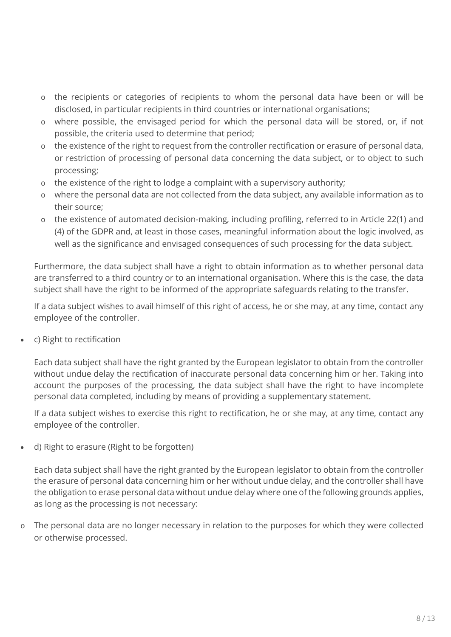- the recipients or categories of recipients to whom the personal data have been or will be disclosed, in particular recipients in third countries or international organisations;
- o where possible, the envisaged period for which the personal data will be stored, or, if not possible, the criteria used to determine that period;
- o the existence of the right to request from the controller rectification or erasure of personal data, or restriction of processing of personal data concerning the data subject, or to object to such processing;
- o the existence of the right to lodge a complaint with a supervisory authority;
- o where the personal data are not collected from the data subject, any available information as to their source;
- o the existence of automated decision-making, including profiling, referred to in Article 22(1) and (4) of the GDPR and, at least in those cases, meaningful information about the logic involved, as well as the significance and envisaged consequences of such processing for the data subject.

Furthermore, the data subject shall have a right to obtain information as to whether personal data are transferred to a third country or to an international organisation. Where this is the case, the data subject shall have the right to be informed of the appropriate safeguards relating to the transfer.

If a data subject wishes to avail himself of this right of access, he or she may, at any time, contact any employee of the controller.

c) Right to rectification

Each data subject shall have the right granted by the European legislator to obtain from the controller without undue delay the rectification of inaccurate personal data concerning him or her. Taking into account the purposes of the processing, the data subject shall have the right to have incomplete personal data completed, including by means of providing a supplementary statement.

If a data subject wishes to exercise this right to rectification, he or she may, at any time, contact any employee of the controller.

d) Right to erasure (Right to be forgotten)

Each data subject shall have the right granted by the European legislator to obtain from the controller the erasure of personal data concerning him or her without undue delay, and the controller shall have the obligation to erase personal data without undue delay where one of the following grounds applies, as long as the processing is not necessary:

The personal data are no longer necessary in relation to the purposes for which they were collected or otherwise processed.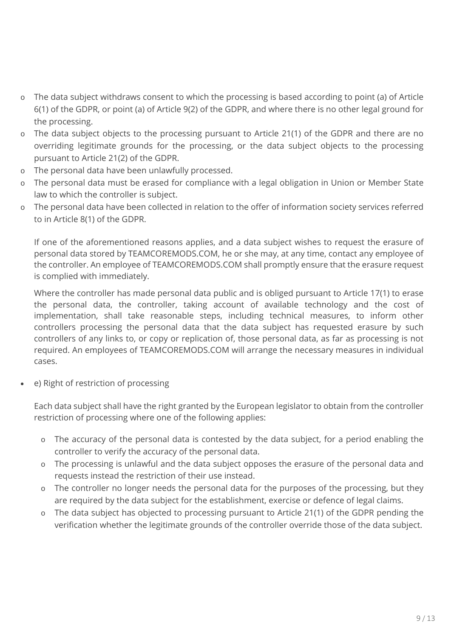- o The data subject withdraws consent to which the processing is based according to point (a) of Article 6(1) of the GDPR, or point (a) of Article 9(2) of the GDPR, and where there is no other legal ground for the processing.
- o The data subject objects to the processing pursuant to Article 21(1) of the GDPR and there are no overriding legitimate grounds for the processing, or the data subject objects to the processing pursuant to Article 21(2) of the GDPR.
- o The personal data have been unlawfully processed.
- o The personal data must be erased for compliance with a legal obligation in Union or Member State law to which the controller is subject.
- o The personal data have been collected in relation to the offer of information society services referred to in Article 8(1) of the GDPR.

If one of the aforementioned reasons applies, and a data subject wishes to request the erasure of personal data stored by TEAMCOREMODS.COM, he or she may, at any time, contact any employee of the controller. An employee of TEAMCOREMODS.COM shall promptly ensure that the erasure request is complied with immediately.

Where the controller has made personal data public and is obliged pursuant to Article 17(1) to erase the personal data, the controller, taking account of available technology and the cost of implementation, shall take reasonable steps, including technical measures, to inform other controllers processing the personal data that the data subject has requested erasure by such controllers of any links to, or copy or replication of, those personal data, as far as processing is not required. An employees of TEAMCOREMODS.COM will arrange the necessary measures in individual cases.

e) Right of restriction of processing

Each data subject shall have the right granted by the European legislator to obtain from the controller restriction of processing where one of the following applies:

- o The accuracy of the personal data is contested by the data subject, for a period enabling the controller to verify the accuracy of the personal data.
- o The processing is unlawful and the data subject opposes the erasure of the personal data and requests instead the restriction of their use instead.
- o The controller no longer needs the personal data for the purposes of the processing, but they are required by the data subject for the establishment, exercise or defence of legal claims.
- o The data subject has objected to processing pursuant to Article 21(1) of the GDPR pending the verification whether the legitimate grounds of the controller override those of the data subject.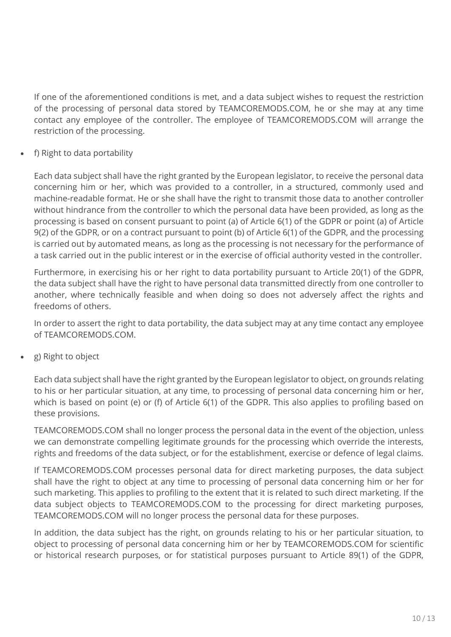If one of the aforementioned conditions is met, and a data subject wishes to request the restriction of the processing of personal data stored by TEAMCOREMODS.COM, he or she may at any time contact any employee of the controller. The employee of TEAMCOREMODS.COM will arrange the restriction of the processing.

f) Right to data portability

Each data subject shall have the right granted by the European legislator, to receive the personal data concerning him or her, which was provided to a controller, in a structured, commonly used and machine-readable format. He or she shall have the right to transmit those data to another controller without hindrance from the controller to which the personal data have been provided, as long as the processing is based on consent pursuant to point (a) of Article 6(1) of the GDPR or point (a) of Article 9(2) of the GDPR, or on a contract pursuant to point (b) of Article 6(1) of the GDPR, and the processing is carried out by automated means, as long as the processing is not necessary for the performance of a task carried out in the public interest or in the exercise of official authority vested in the controller.

Furthermore, in exercising his or her right to data portability pursuant to Article 20(1) of the GDPR, the data subject shall have the right to have personal data transmitted directly from one controller to another, where technically feasible and when doing so does not adversely affect the rights and freedoms of others.

In order to assert the right to data portability, the data subject may at any time contact any employee of TEAMCOREMODS.COM.

g) Right to object

Each data subject shall have the right granted by the European legislator to object, on grounds relating to his or her particular situation, at any time, to processing of personal data concerning him or her, which is based on point (e) or (f) of Article 6(1) of the GDPR. This also applies to profiling based on these provisions.

TEAMCOREMODS.COM shall no longer process the personal data in the event of the objection, unless we can demonstrate compelling legitimate grounds for the processing which override the interests, rights and freedoms of the data subject, or for the establishment, exercise or defence of legal claims.

If TEAMCOREMODS.COM processes personal data for direct marketing purposes, the data subject shall have the right to object at any time to processing of personal data concerning him or her for such marketing. This applies to profiling to the extent that it is related to such direct marketing. If the data subject objects to TEAMCOREMODS.COM to the processing for direct marketing purposes, TEAMCOREMODS.COM will no longer process the personal data for these purposes.

In addition, the data subject has the right, on grounds relating to his or her particular situation, to object to processing of personal data concerning him or her by TEAMCOREMODS.COM for scientific or historical research purposes, or for statistical purposes pursuant to Article 89(1) of the GDPR,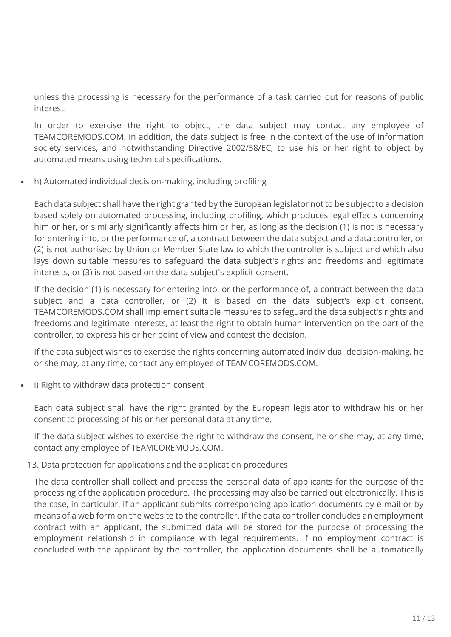unless the processing is necessary for the performance of a task carried out for reasons of public interest.

In order to exercise the right to object, the data subject may contact any employee of TEAMCOREMODS.COM. In addition, the data subject is free in the context of the use of information society services, and notwithstanding Directive 2002/58/EC, to use his or her right to object by automated means using technical specifications.

h) Automated individual decision-making, including profiling

Each data subject shall have the right granted by the European legislator not to be subject to a decision based solely on automated processing, including profiling, which produces legal effects concerning him or her, or similarly significantly affects him or her, as long as the decision (1) is not is necessary for entering into, or the performance of, a contract between the data subject and a data controller, or (2) is not authorised by Union or Member State law to which the controller is subject and which also lays down suitable measures to safeguard the data subject's rights and freedoms and legitimate interests, or (3) is not based on the data subject's explicit consent.

If the decision (1) is necessary for entering into, or the performance of, a contract between the data subject and a data controller, or (2) it is based on the data subject's explicit consent, TEAMCOREMODS.COM shall implement suitable measures to safeguard the data subject's rights and freedoms and legitimate interests, at least the right to obtain human intervention on the part of the controller, to express his or her point of view and contest the decision.

If the data subject wishes to exercise the rights concerning automated individual decision-making, he or she may, at any time, contact any employee of TEAMCOREMODS.COM.

i) Right to withdraw data protection consent

Each data subject shall have the right granted by the European legislator to withdraw his or her consent to processing of his or her personal data at any time.

If the data subject wishes to exercise the right to withdraw the consent, he or she may, at any time, contact any employee of TEAMCOREMODS.COM.

### 13. Data protection for applications and the application procedures

The data controller shall collect and process the personal data of applicants for the purpose of the processing of the application procedure. The processing may also be carried out electronically. This is the case, in particular, if an applicant submits corresponding application documents by e-mail or by means of a web form on the website to the controller. If the data controller concludes an employment contract with an applicant, the submitted data will be stored for the purpose of processing the employment relationship in compliance with legal requirements. If no employment contract is concluded with the applicant by the controller, the application documents shall be automatically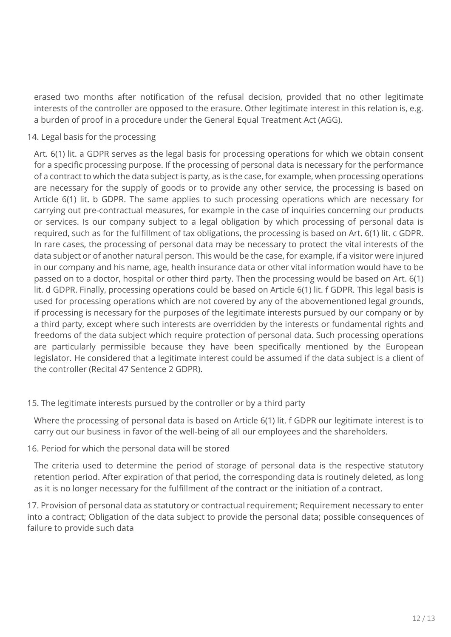erased two months after notification of the refusal decision, provided that no other legitimate interests of the controller are opposed to the erasure. Other legitimate interest in this relation is, e.g. a burden of proof in a procedure under the General Equal Treatment Act (AGG).

### 14. Legal basis for the processing

Art. 6(1) lit. a GDPR serves as the legal basis for processing operations for which we obtain consent for a specific processing purpose. If the processing of personal data is necessary for the performance of a contract to which the data subject is party, as is the case, for example, when processing operations are necessary for the supply of goods or to provide any other service, the processing is based on Article 6(1) lit. b GDPR. The same applies to such processing operations which are necessary for carrying out pre-contractual measures, for example in the case of inquiries concerning our products or services. Is our company subject to a legal obligation by which processing of personal data is required, such as for the fulfillment of tax obligations, the processing is based on Art. 6(1) lit. c GDPR. In rare cases, the processing of personal data may be necessary to protect the vital interests of the data subject or of another natural person. This would be the case, for example, if a visitor were injured in our company and his name, age, health insurance data or other vital information would have to be passed on to a doctor, hospital or other third party. Then the processing would be based on Art. 6(1) lit. d GDPR. Finally, processing operations could be based on Article 6(1) lit. f GDPR. This legal basis is used for processing operations which are not covered by any of the abovementioned legal grounds, if processing is necessary for the purposes of the legitimate interests pursued by our company or by a third party, except where such interests are overridden by the interests or fundamental rights and freedoms of the data subject which require protection of personal data. Such processing operations are particularly permissible because they have been specifically mentioned by the European legislator. He considered that a legitimate interest could be assumed if the data subject is a client of the controller (Recital 47 Sentence 2 GDPR).

### 15. The legitimate interests pursued by the controller or by a third party

Where the processing of personal data is based on Article 6(1) lit. f GDPR our legitimate interest is to carry out our business in favor of the well-being of all our employees and the shareholders.

### 16. Period for which the personal data will be stored

The criteria used to determine the period of storage of personal data is the respective statutory retention period. After expiration of that period, the corresponding data is routinely deleted, as long as it is no longer necessary for the fulfillment of the contract or the initiation of a contract.

17. Provision of personal data as statutory or contractual requirement; Requirement necessary to enter into a contract; Obligation of the data subject to provide the personal data; possible consequences of failure to provide such data